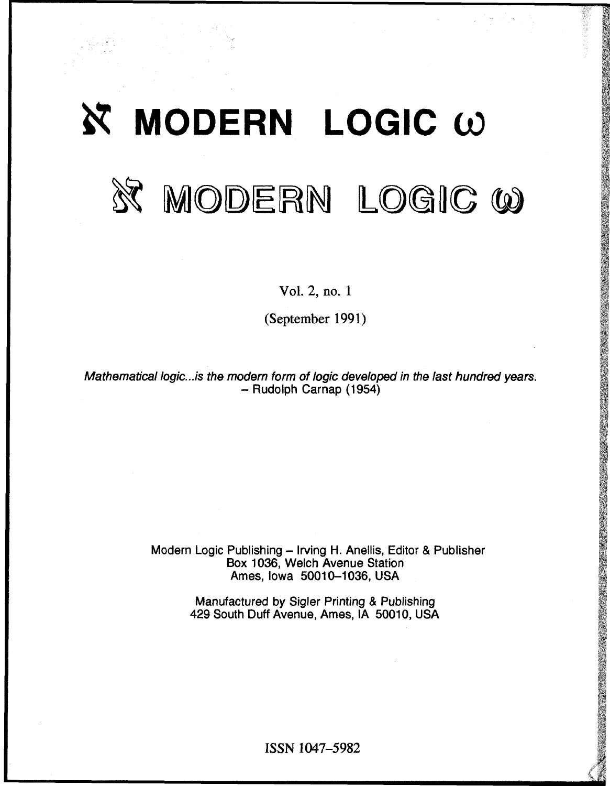# **MODERN LOGIC CO** MODERN LOGIC W

Vol. 2, no. 1

(September 1991)

Mathematical logic...is the modern form of logic developed in the last hundred years. - Rudolph Carnap (1954)

> Modern Logic Publishing - Irving H. Anellis, Editor & Publisher Box 1036, Welch Avenue Station Ames, Iowa 50010-1036, USA

**' Í**

Manufactured by Sigler Printing & Publishing 429 South Duff Avenue, Ames, IA 50010, USA

ISSN 1047-5982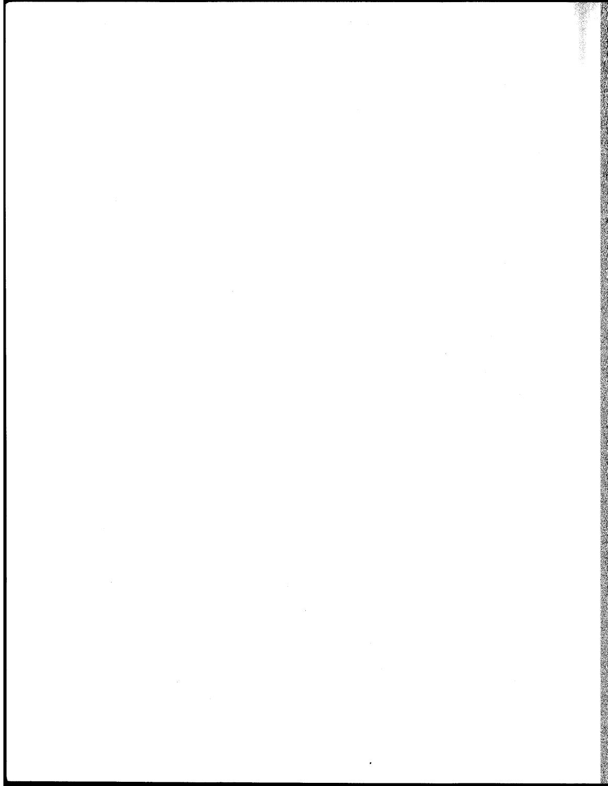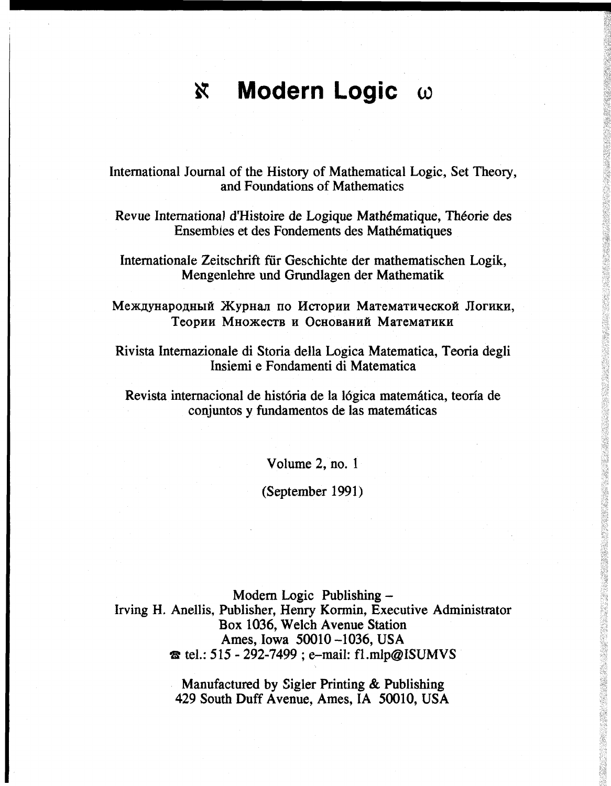## **Modern Logic ω**  $\mathbf{X}$

International Journal of the History of Mathematical Logic, Set Theory, and Foundations of Mathematics

Revue International d'Histoire de Logique Mathématique, Théorie des Ensembles et des Fondements des Mathématiques

Internationale Zeitschrift für Geschichte der mathematischen Logik, Mengenlehre und Grundlagen der Mathematik

Международный Журнал по Истории Математической Логики, Теории Множеств и Оснований Математики

Rivista Internazionale di Storia della Logica Matematica, Teoria degli Insiemi e Fondamenti di Matematica

Revista internacional de historia de la lógica matemática, teoría de conjuntos y fundamentos de las matemáticas

Volume 2, no. 1

(September 1991)

Modern Logic Publishing -Irving H. Anellis, Publisher, Henry Kormin, Executive Administrator Box 1036, Welch Avenue Station Ames, Iowa 50010 -1036, USA © tel.: 515 - 292-7499 ; e-mail: fl.mlp@ISUMVS

Manufactured by Sigler Printing & Publishing 429 South Duff Avenue, Ames, IA 50010, USA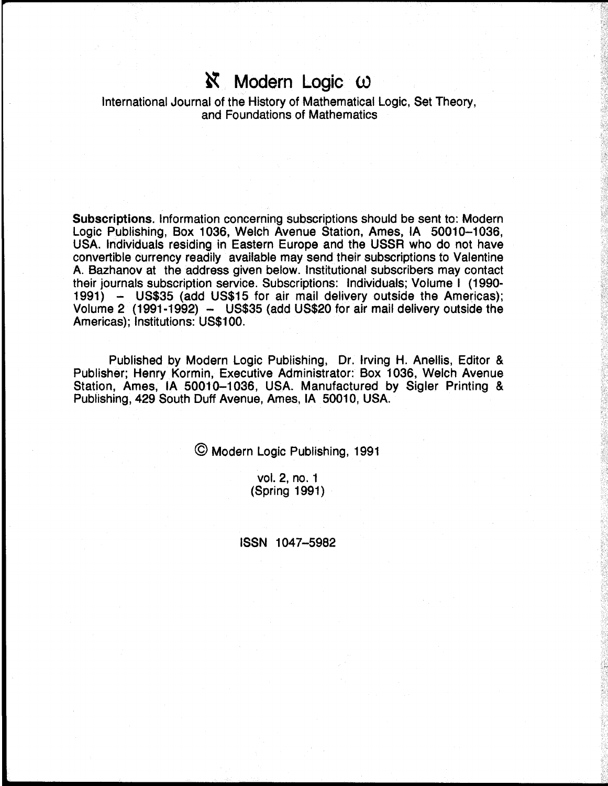#### $\mathbf x$ **Modern Logic ω**

International Journal of the History of Mathematical Logic, Set Theory, and Foundations of Mathematics

Subscriptions. Information concerning subscriptions should be sent to: Modern Logic Publishing, Box 1036, Welch Avenue Station, Ames, IA 50010-1036, USA. Individuals residing in Eastern Europe and the USSR who do not have convertible currency readily available may send their subscriptions to Valentine A. Bazhanov at the address given below. Institutional subscribers may contact their journals subscription service. Subscriptions: Individuals; Volume I (1990- 1991) - US\$35 (add US\$15 for air mail delivery outside the Americas); Volume 2 (1991-1992) - US\$35 (add US\$20 for air mail delivery outside the Americas); Institutions: US\$100.

Published by Modern Logic Publishing, Dr. Irving H. Anellis, Editor & Publisher; Henry Kormin, Executive Administrator: Box 1036, Welch Avenue Station, Ames, IA 50010-1036, USA. Manufactured by Sigler Printing & Publishing, 429 South Duff Avenue, Ames, IA 50010, USA.

© Modern Logic Publishing, 1991

vol. 2, no. 1 (Spring 1991)

ISSN 1047-5982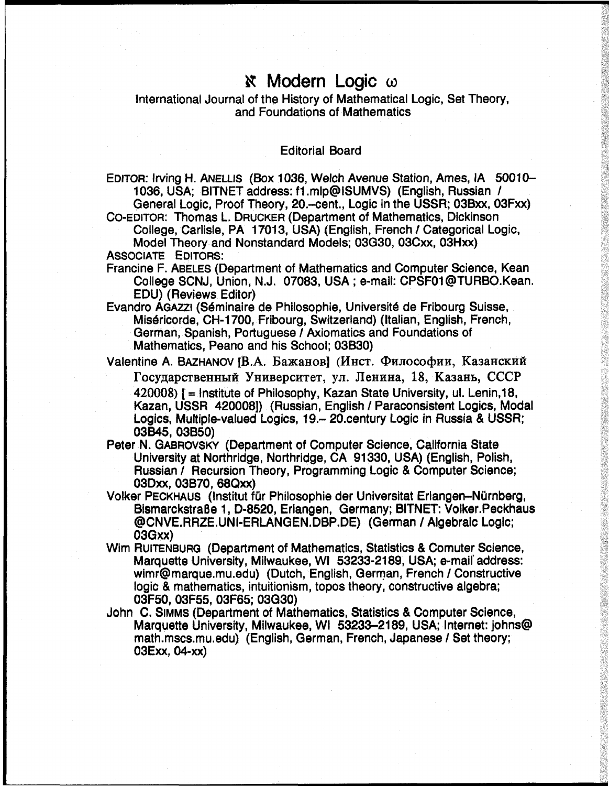## **Modern Logic w**

## International Journal of the History of Mathematical Logic, Set Theory, and Foundations of Mathematics

## Editorial Board

EDITOR: Irving H. ANELLIS (BOX 1036, Welch Avenue Station, Ames, IA 50010 1036, USA; BITNET address: f1.mlp@ISUMVS) (English, Russian / General Logic, Proof Theory, 20.-cent., Logic in the USSR; 03Bxx, 03Fxx)

CO-EDITOR: Thomas L. DRUCKER (Department of Mathematics, Dickinson College, Carlisle, PA 17013, USA) (English, French / Categorical Logic,

Model Theory and Nonstandard Models; 03G30, ОЗСхх, ОЗНхх) ASSOCIATE EDITORS:

- Francine F. ABELES (Department of Mathematics and Computer Science, Kean College SCNJ, Union, N.J. 07083, USA ; e-mail: CPSF01@TURBO.Kean. EDU) (Reviews Editor)
- Evandro AGAZZI (Séminaire de Philosophie, Université de Fribourg Suisse, Miséricorde, CH-1700, Fribourg, Switzerland) (Italian, English, French, German, Spanish, Portuguese / Axiomatics and Foundations of Mathematics, Peano and his School; 03B30)

Valentine A. BAZHANOV [B.A. Бажанов] (Инст. Философии, Казански Государственный Университет, ул. Ленина, 18, Казань, СССР 420008) [ = Institute of Philosophy, Kazan State University, ul. Lenin,18, Kazan, USSR 420008]) (Russian, English / Paraconsistent Logics, Modal Logics, Multiple-valued Logics, 19. - 20.century Logic in Russia & USSR; 03B45, 03B50)

- Peter N. GABROVSKY (Department of Computer Science, California State University at Northridge, Northridge, CA 91330, USA) (English, Polish, Russian / Recursion Theory, Programming Logic & Computer Science; 03DXX, 03B70, 68QXX)
- Volker PECKHAUS (Institut für Philosophie der Universität Erlangen-Nümberg, Bismarckstraße 1, D-8520, Erlangen, Germany; BITNET: Volker.Peckhaus @CNVE.RRZE.UNI-ERLANGEN.DBP.DE) (German / Algebraic Logic; 03Gxx)
- Wim RUITENBURG (Department of Mathematics, Statistics & Comuter Science, Marquette University, Milwaukee, Wl 53233-2189, USA; e-mail address: wimr@marque.mu.edu) (Dutch, English, German, French / Constructive logic & mathematics, intuitionism, topos theory, constructive algebra; 03F50, 03F55, 03F65; 03G30)
- John C. SIMMS (Department of Mathematics, Statistics & Computer Science, Marquette University, Milwaukee, WI 53233-2189, USA; Internet: johns@ math.mscs.mu.edu) (English, German, French, Japanese / Set theory; ОЗЕхх, 04-хх)